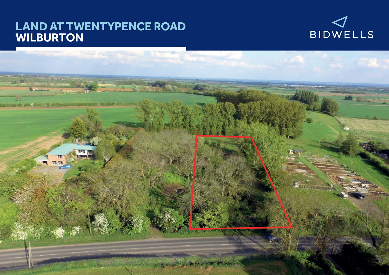# **LAND AT TWENTYPENCE ROAD WILBURTON**



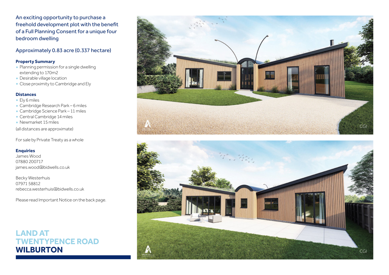An exciting opportunity to purchase a freehold development plot with the benefit of a Full Planning Consent for a unique four bedroom dwelling

## Approximately 0.83 acre (0.337 hectare)

## **Property Summary**

- **•** Planning permission for a single dwelling extending to 170m2
- 
- **•** Desirable village location **•** Close proximity to Cambridge and Ely

## **Distances**

- 
- 
- **•** Ely 6 miles **•** Cambridge Research Park 6 miles **•** Cambridge Science Park 11 miles **•** Central Cambridge 14 miles **•** Newmarket 15 miles
- 
- 

(all distances are approximate)

For sale by Private Treaty as a whole

## **Enquiries**

James Wood 07880 200717 james.wood@bidwells.co.uk

Becky Westerhuis 07971 58812 rebecca.westerhuis@bidwells.co.uk

Please read Important Notice on the back page.

**LAND AT TWENTYPENCE ROAD WILBURTON** 

![](_page_1_Picture_19.jpeg)

![](_page_1_Picture_20.jpeg)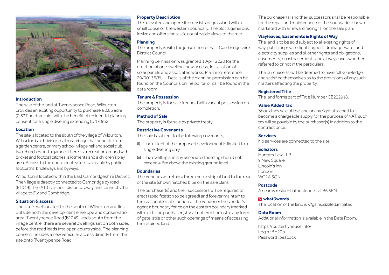![](_page_2_Picture_0.jpeg)

#### **Introduction**

The sale of the land at Twentypence Road, Wilburton provides an exciting opportunity to purchase a 0.83 acre (0.337 hectare) plot with the benefit of residential planning consent for a single dwelling extending to 170m2.

#### **Location**

The site is located to the south of the village of Wilburton. Wilburton is a thriving small rural village that benefits from a garden centre, primary school, village hall and social club, two churches and a garage. There is a recreation ground with cricket and football pitches, allotments and a children's play area. Access to the open countryside is available by public footpaths, bridleways and byways.

Wilburton is located within the East Cambridgeshire District. The village is directly connected to Cambridge by road (B1049). The A10 is a short distance away and connects the village to Ely and Cambridge.

#### **Situation & access**

The site is well located to the south of Wilburton and lies outside both the development envelope and conservation area. Twentypence Road (B1049) leads south from the village centre; there are several dwellings set on both sides before the road leads into open countryside. The planning consent includes a new vehicular access directly from the site onto Twentypence Road.

### **Property Description**

This elevated and open site consists of grassland with a small copse on the western boundary. The plot is generous in size and offers fantastic countryside views to the rear.

#### **Planning**

The property is with the jurisdiction of East Cambridgeshire District Council.

Planning permission was granted 1 April 2020 for the erection of one dwelling, new access, installation of solar panels and associated works. Planning reference 20/00136/FUL. Details of the planning permission can be found on the Council's online portal or can be found in the data room.

#### **Tenure & Possession**

The property is for sale freehold with vacant possession on completion.

#### **Method of Sale**

The property is for sale by private treaty.

#### **Restrictive Covenants**

The sale is subject to the following covenants;

- (i) The extent of the proposed development is limited to a single dwelling only
- (ii) The dwelling and any associated building should not exceed 4.6m above the existing ground level

#### **Boundaries**

The Vendors will retain a three metre strip of land to the rear of the site (shown hatched blue on the sale plan).

The purchaser(s) and their successors will be required to erect (specification to be agreed) and forever maintain to the reasonable satisfaction of the vendor or the vendor's agent a boundary fence on the eastern boundary (marked with a T). The purchaser(s) shall not erect or install any form of gate, stile or other such openings of means of accessing the retained land.

The purchaser(s) and their successors shall be responsible for the repair and maintenance of the boundaries shown marketed with an inward facing 'T' on the sale plan.

#### **Wayleaves, Easements & Rights of Way**

The land is to be sold subject to all existing rights of way, public or private, light support, drainage, water and electricity supplies and all other rights and obligations, easements, quasi easements and all wayleaves whether referred to or not in the particulars.

The purchaser(s) will be deemed to have full knowledge and satisfied themselves as to the provisions of any such matters affecting the property.

#### **Registered Title**

The land forms part of Title Number CB232918.

#### **Value Added Tax**

Should any sale of the land or any right attached to it become a chargeable supply for the purpose of VAT, such tax will be payable by the purchaser(s) in addition to the contract price.

#### **Services**

No services are connected to the site.

#### **Solicitors**

Hunters Law LLP 9 New Square Lincoln's Inn London WC2A 3QN

#### **Postcode**

A nearby residential postcode is CB6 3RN.

#### **what3words**

The location of the land is ///gains.sizzled.initiates

#### **Data Room**

Additional information is available in the Data Room.

https://butterflyhouse.info/ Login : BH20p Password : peacock